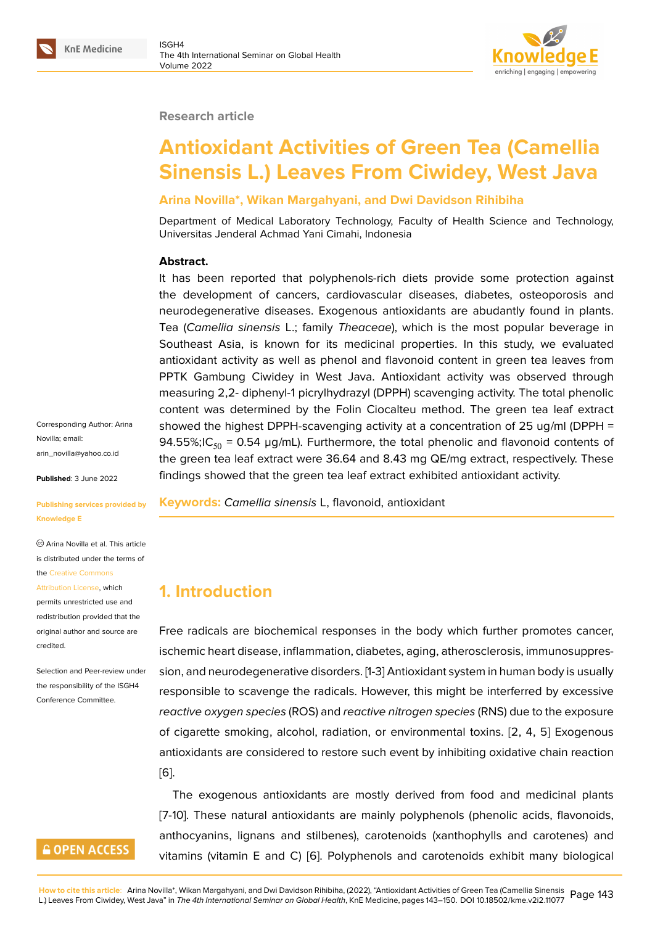#### **Research article**

# **Antioxidant Activities of Green Tea (Camellia Sinensis L.) Leaves From Ciwidey, West Java**

## **Arina Novilla\*, Wikan Margahyani, and Dwi Davidson Rihibiha**

Department of Medical Laboratory Technology, Faculty of Health Science and Technology, Universitas Jenderal Achmad Yani Cimahi, Indonesia

### **Abstract.**

It has been reported that polyphenols-rich diets provide some protection against the development of cancers, cardiovascular diseases, diabetes, osteoporosis and neurodegenerative diseases. Exogenous antioxidants are abudantly found in plants. Tea (*Camellia sinensis* L.; family *Theaceae*), which is the most popular beverage in Southeast Asia, is known for its medicinal properties. In this study, we evaluated antioxidant activity as well as phenol and flavonoid content in green tea leaves from PPTK Gambung Ciwidey in West Java. Antioxidant activity was observed through measuring 2,2- diphenyl-1 picrylhydrazyl (DPPH) scavenging activity. The total phenolic content was determined by the Folin Ciocalteu method. The green tea leaf extract showed the highest DPPH-scavenging activity at a concentration of 25 ug/ml (DPPH = 94.55%;IC<sub>50</sub> = 0.54 µg/mL). Furthermore, the total phenolic and flavonoid contents of the green tea leaf extract were 36.64 and 8.43 mg QE/mg extract, respectively. These findings showed that the green tea leaf extract exhibited antioxidant activity.

#### **Keywords:** *Camellia sinensis* L, flavonoid, antioxidant

# **1. Introduction**

Free radicals are biochemical responses in the body which further promotes cancer, ischemic heart disease, inflammation, diabetes, aging, atherosclerosis, immunosuppression, and neurodegenerative disorders. [1-3] Antioxidant system in human body is usually responsible to scavenge the radicals. However, this might be interferred by excessive *reactive oxygen species* (ROS) and *reactive nitrogen species* (RNS) due to the exposure of cigarette smoking, alcohol, radiation, or environmental toxins. [2, 4, 5] Exogenous antioxidants are considered to restore such event by inhibiting oxidative chain reaction [6].

The exogenous antioxidants are mostly derived from food and medicinal plants [7-10]. These natural antioxidants are mainly polyphenols (phenolic acids, flavonoids, [an](#page-5-0)thocyanins, lignans and stilbenes), carotenoids (xanthophylls and carotenes) and vitamins (vitamin E and C) [6]. Polyphenols and carotenoids exhibit many biological

Corresponding Author: Arina Novilla; email: arin\_novilla@yahoo.co.id

**Published**: 3 June 2022

#### **[Publishing services prov](mailto:arin_novilla@yahoo.co.id)ided by Knowledge E**

Arina Novilla et al. This article is distributed under the terms of the Creative Commons

Attribution License, which permits unrestricted use and redistribution provided that the orig[inal author and sou](https://creativecommons.org/licenses/by/4.0/)rce are [credited.](https://creativecommons.org/licenses/by/4.0/)

Selection and Peer-review under the responsibility of the ISGH4 Conference Committee.

# **GOPEN ACCESS**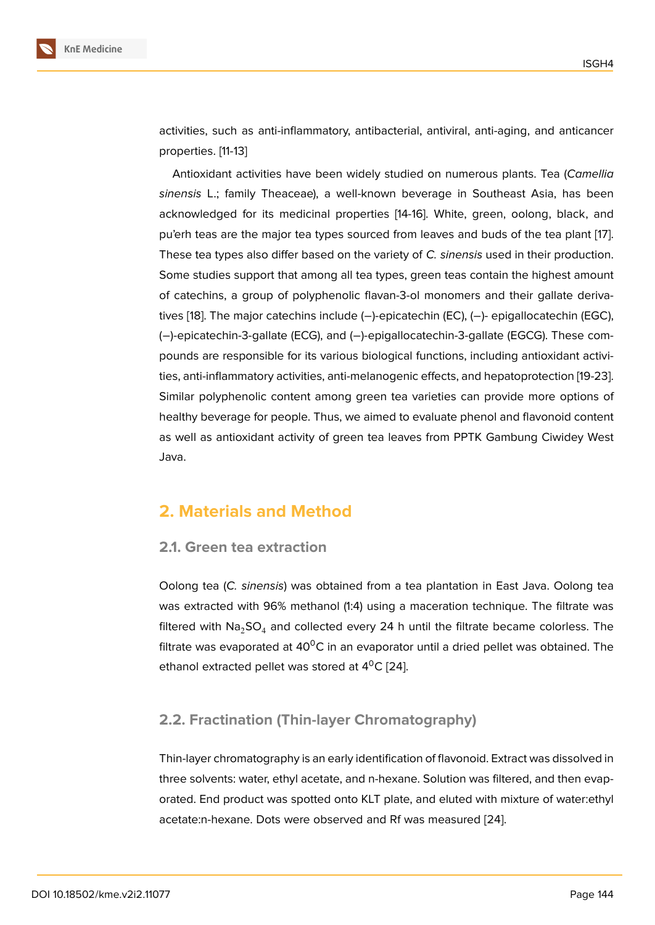activities, such as anti-inflammatory, antibacterial, antiviral, anti-aging, and anticancer properties. [11-13]

Antioxidant activities have been widely studied on numerous plants. Tea (*Camellia sinensis* L.; family Theaceae), a well-known beverage in Southeast Asia, has been acknowledged for its medicinal properties [14-16]. White, green, oolong, black, and pu'erh teas are the major tea types sourced from leaves and buds of the tea plant [17]. These tea types also differ based on the variety of *C. sinensis* used in their production. Some studies support that among all tea types, green teas contain the highest amount of catechins, a group of polyphenolic flavan-3-ol monomers and their gallate der[iva](#page-6-0)tives [18]. The major catechins include (−)-epicatechin (EC), (−)- epigallocatechin (EGC), (−)-epicatechin-3-gallate (ECG), and (−)-epigallocatechin-3-gallate (EGCG). These compounds are responsible for its various biological functions, including antioxidant activities, a[nti](#page-6-1)-inflammatory activities, anti-melanogenic effects, and hepatoprotection [19-23]. Similar polyphenolic content among green tea varieties can provide more options of healthy beverage for people. Thus, we aimed to evaluate phenol and flavonoid content as well as antioxidant activity of green tea leaves from PPTK Gambung Ciwidey West Java.

# **2. Materials and Method**

#### **2.1. Green tea extraction**

Oolong tea (*C. sinensis*) was obtained from a tea plantation in East Java. Oolong tea was extracted with 96% methanol (1:4) using a maceration technique. The filtrate was filtered with  $\text{Na}_2\text{SO}_4$  and collected every 24 h until the filtrate became colorless. The filtrate was evaporated at 40 $\rm{^{\circ}C}$  in an evaporator until a dried pellet was obtained. The ethanol extracted pellet was stored at  $4^{\circ}$ C [24].

## **2.2. Fractination (Thin-layer Chro[ma](#page-6-2)tography)**

Thin-layer chromatography is an early identification of flavonoid. Extract was dissolved in three solvents: water, ethyl acetate, and n-hexane. Solution was filtered, and then evaporated. End product was spotted onto KLT plate, and eluted with mixture of water:ethyl acetate:n-hexane. Dots were observed and Rf was measured [24].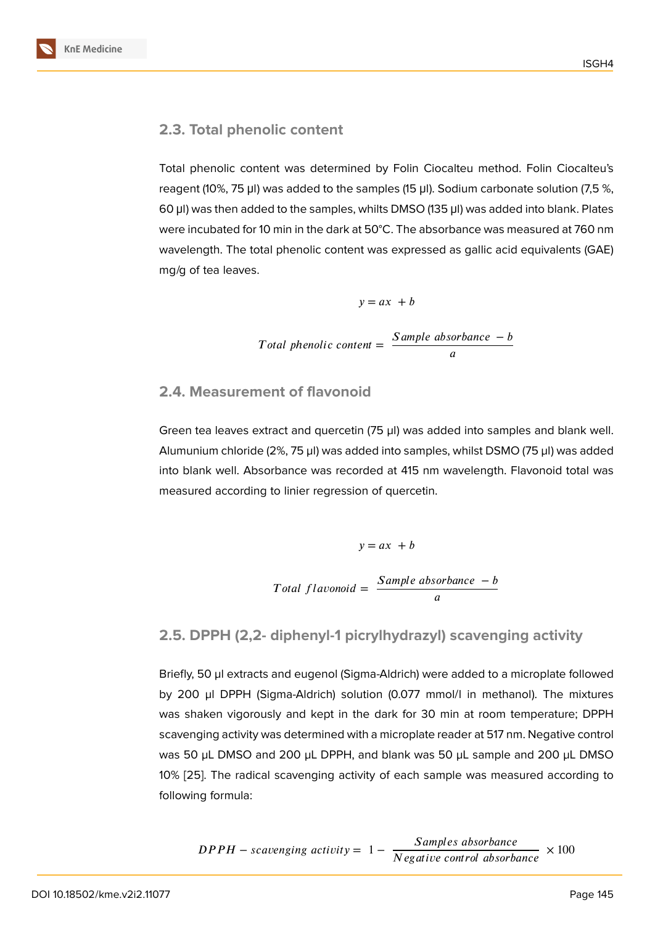#### **2.3. Total phenolic content**

Total phenolic content was determined by Folin Ciocalteu method. Folin Ciocalteu's reagent (10%, 75 μl) was added to the samples (15 μl). Sodium carbonate solution (7,5 %, 60 μl) was then added to the samples, whilts DMSO (135 μl) was added into blank. Plates were incubated for 10 min in the dark at 50°C. The absorbance was measured at 760 nm wavelength. The total phenolic content was expressed as gallic acid equivalents (GAE) mg/g of tea leaves.

$$
y = ax + b
$$
  
Total phenolic content = 
$$
\frac{Sample\ absorbance - b}{a}
$$

### **2.4. Measurement of flavonoid**

Green tea leaves extract and quercetin (75 µl) was added into samples and blank well. Alumunium chloride (2%, 75 µl) was added into samples, whilst DSMO (75 µl) was added into blank well. Absorbance was recorded at 415 nm wavelength. Flavonoid total was measured according to linier regression of quercetin.

$$
y = ax + b
$$
  
Total flavonoid = 
$$
\frac{Sample\ absorbane - b}{a}
$$

### **2.5. DPPH (2,2- diphenyl-1 picrylhydrazyl) scavenging activity**

Briefly, 50 µl extracts and eugenol (Sigma-Aldrich) were added to a microplate followed by 200 µl DPPH (Sigma-Aldrich) solution (0.077 mmol/l in methanol). The mixtures was shaken vigorously and kept in the dark for 30 min at room temperature; DPPH scavenging activity was determined with a microplate reader at 517 nm. Negative control was 50 µL DMSO and 200 µL DPPH, and blank was 50 µL sample and 200 µL DMSO 10% [25]. The radical scavenging activity of each sample was measured according to following formula:

$$
DPPH -scavensing activity = 1 - \frac{Samples\ absolute\ of\ 200}{Negative\ control\ absorbance} \times 100
$$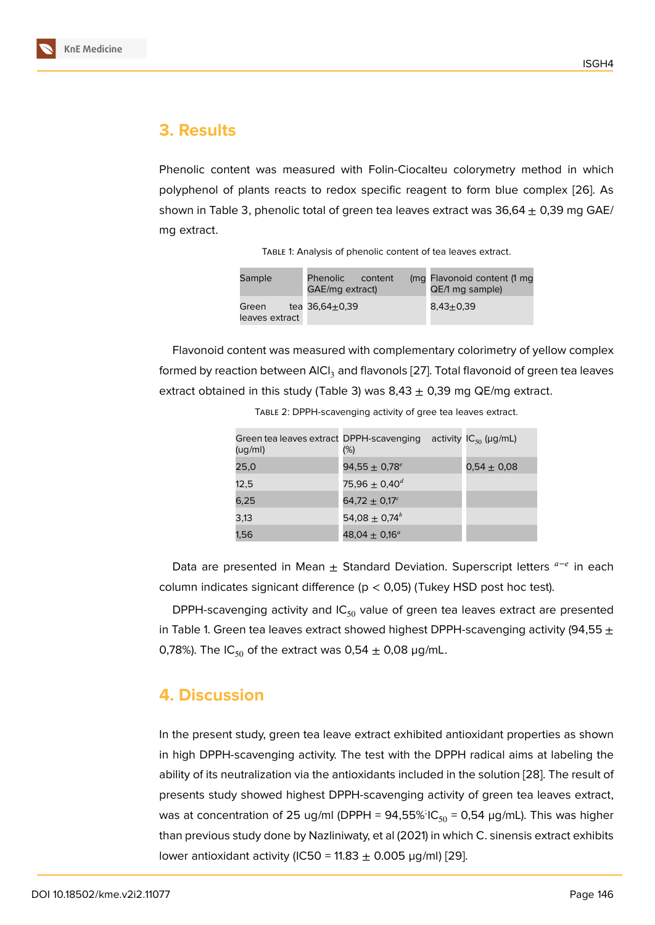# **3. Results**

Phenolic content was measured with Folin-Ciocalteu colorymetry method in which polyphenol of plants reacts to redox specific reagent to form blue complex [26]. As shown in Table 3, phenolic total of green tea leaves extract was  $36,64 \pm 0,39$  mg GAE/ mg extract.

| Sample                  | Phenolic<br>content<br>GAE/mg extract) | (mg Flavonoid content (1 mg<br>QE/1 mg sample) |
|-------------------------|----------------------------------------|------------------------------------------------|
| Green<br>leaves extract | tea $36,64+0,39$                       | $8.43 {\pm} 0.39$                              |

Flavonoid content was measured with complementary colorimetry of yellow complex formed by reaction between  $AICI<sub>3</sub>$  and flavonols [27]. Total flavonoid of green tea leaves extract obtained in this study (Table 3) was  $8,43 \pm 0,39$  mg QE/mg extract.

| (ug/ml) | Green tea leaves extract DPPH-scavenging activity $IC_{50}$ (µg/mL)<br>$(\%)$ |                 |
|---------|-------------------------------------------------------------------------------|-----------------|
| 25,0    | 94,55 $\pm$ 0,78 $^e$                                                         | $0.54 \pm 0.08$ |
| 12,5    | 75,96 $\pm$ 0,40 <sup>d</sup>                                                 |                 |
| 6,25    | $64.72 + 0.17^{c}$                                                            |                 |
| 3,13    | 54,08 $\pm$ 0,74 <sup>b</sup>                                                 |                 |
| 1,56    | 48,04 $\pm$ 0,16 <sup>a</sup>                                                 |                 |

Table 2: DPPH-scavenging activity of gree tea leaves extract.

Data are presented in Mean  $\pm$  Standard Deviation. Superscript letters  $a-e$  in each column indicates signicant difference ( $p < 0.05$ ) (Tukey HSD post hoc test).

DPPH-scavenging activity and  $IC_{50}$  value of green tea leaves extract are presented in Table 1. Green tea leaves extract showed highest DPPH-scavenging activity (94,55  $\pm$ 0,78%). The IC<sub>50</sub> of the extract was 0,54  $\pm$  0,08 µg/mL.

# **4. Discussion**

In the present study, green tea leave extract exhibited antioxidant properties as shown in high DPPH-scavenging activity. The test with the DPPH radical aims at labeling the ability of its neutralization via the antioxidants included in the solution [28]. The result of presents study showed highest DPPH-scavenging activity of green tea leaves extract, was at concentration of 25 ug/ml (DPPH = 94,55% $IC_{50}$  = 0,54  $\mu$ g/mL). This was higher than previous study done by Nazliniwaty, et al (2021) in which C. sinens[is e](#page-7-0)xtract exhibits lower antioxidant activity (IC50 = 11.83  $\pm$  0.005 µg/ml) [29].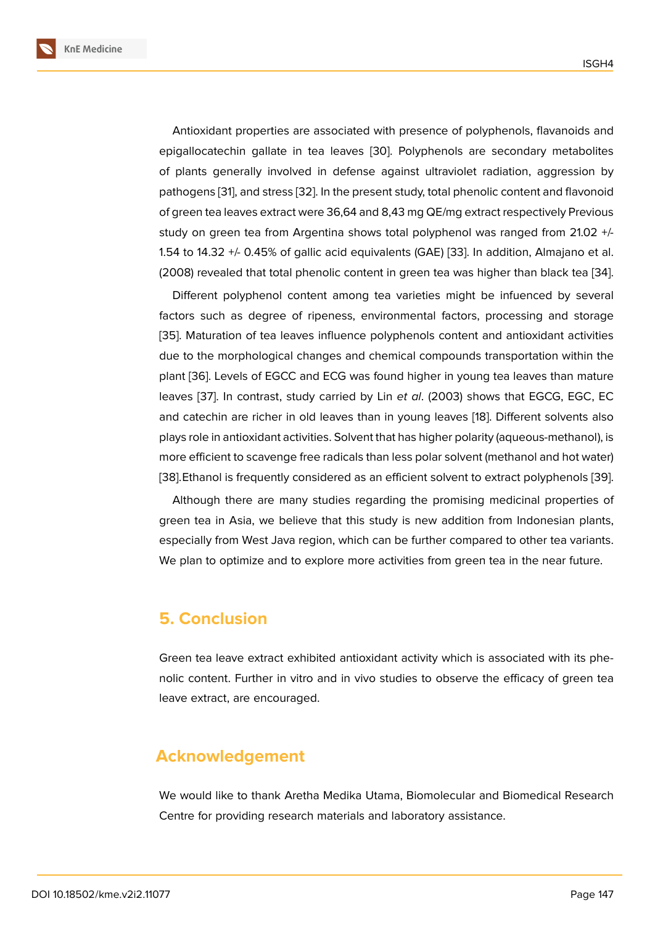Antioxidant properties are associated with presence of polyphenols, flavanoids and epigallocatechin gallate in tea leaves [30]. Polyphenols are secondary metabolites of plants generally involved in defense against ultraviolet radiation, aggression by pathogens [31], and stress [32]. In the present study, total phenolic content and flavonoid of green tea leaves extract were 36,64 an[d 8](#page-7-1),43 mg QE/mg extract respectively Previous study on green tea from Argentina shows total polyphenol was ranged from 21.02 +/- 1.54 to 14.3[2 +](#page-7-2)/- 0.45% of [gall](#page-7-3)ic acid equivalents (GAE) [33]. In addition, Almajano et al. (2008) revealed that total phenolic content in green tea was higher than black tea [34].

Different polyphenol content among tea varieties might be infuenced by several factors such as degree of ripeness, environmental f[acto](#page-7-4)rs, processing and storage [35]. Maturation of tea leaves influence polyphenols content and antioxidant activ[itie](#page-7-5)s due to the morphological changes and chemical compounds transportation within the plant [36]. Levels of EGCC and ECG was found higher in young tea leaves than mature l[eav](#page-7-6)es [37]. In contrast, study carried by Lin *et al*. (2003) shows that EGCG, EGC, EC and catechin are richer in old leaves than in young leaves [18]. Different solvents also plays [role](#page-7-7) in antioxidant activities. Solvent that has higher polarity (aqueous-methanol), is more ef[fici](#page-7-8)ent to scavenge free radicals than less polar solvent (methanol and hot water) [38].Ethanol is frequently considered as an efficient solvent t[o e](#page-6-1)xtract polyphenols [39].

Although there are many studies regarding the promising medicinal properties of green tea in Asia, we believe that this study is new addition from Indonesian plants, [esp](#page-7-9)ecially from West Java region, which can be further compared to other tea vari[ants](#page-7-10). We plan to optimize and to explore more activities from green tea in the near future.

# **5. Conclusion**

Green tea leave extract exhibited antioxidant activity which is associated with its phenolic content. Further in vitro and in vivo studies to observe the efficacy of green tea leave extract, are encouraged.

# **Acknowledgement**

We would like to thank Aretha Medika Utama, Biomolecular and Biomedical Research Centre for providing research materials and laboratory assistance.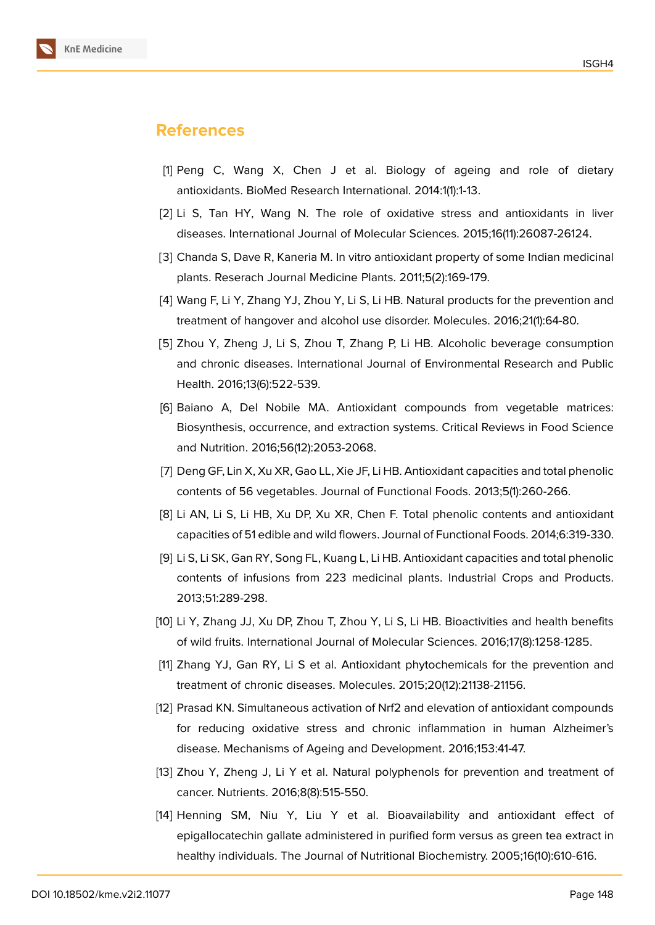

## **References**

- [1] Peng C, Wang X, Chen J et al. Biology of ageing and role of dietary antioxidants. BioMed Research International. 2014:1(1):1-13.
- [2] Li S, Tan HY, Wang N. The role of oxidative stress and antioxidants in liver diseases. International Journal of Molecular Sciences. 2015;16(11):26087-26124.
- [3] Chanda S, Dave R, Kaneria M. In vitro antioxidant property of some Indian medicinal plants. Reserach Journal Medicine Plants. 2011;5(2):169-179.
- [4] Wang F, Li Y, Zhang YJ, Zhou Y, Li S, Li HB. Natural products for the prevention and treatment of hangover and alcohol use disorder. Molecules. 2016;21(1):64-80.
- [5] Zhou Y, Zheng J, Li S, Zhou T, Zhang P, Li HB. Alcoholic beverage consumption and chronic diseases. International Journal of Environmental Research and Public Health. 2016;13(6):522-539.
- <span id="page-5-0"></span>[6] Baiano A, Del Nobile MA. Antioxidant compounds from vegetable matrices: Biosynthesis, occurrence, and extraction systems. Critical Reviews in Food Science and Nutrition. 2016;56(12):2053-2068.
- [7] Deng GF, Lin X, Xu XR, Gao LL, Xie JF, Li HB. Antioxidant capacities and total phenolic contents of 56 vegetables. Journal of Functional Foods. 2013;5(1):260-266.
- [8] Li AN, Li S, Li HB, Xu DP, Xu XR, Chen F. Total phenolic contents and antioxidant capacities of 51 edible and wild flowers. Journal of Functional Foods. 2014;6:319-330.
- [9] Li S, Li SK, Gan RY, Song FL, Kuang L, Li HB. Antioxidant capacities and total phenolic contents of infusions from 223 medicinal plants. Industrial Crops and Products. 2013;51:289-298.
- [10] Li Y, Zhang JJ, Xu DP, Zhou T, Zhou Y, Li S, Li HB. Bioactivities and health benefits of wild fruits. International Journal of Molecular Sciences. 2016;17(8):1258-1285.
- [11] Zhang YJ, Gan RY, Li S et al. Antioxidant phytochemicals for the prevention and treatment of chronic diseases. Molecules. 2015;20(12):21138-21156.
- [12] Prasad KN. Simultaneous activation of Nrf2 and elevation of antioxidant compounds for reducing oxidative stress and chronic inflammation in human Alzheimer's disease. Mechanisms of Ageing and Development. 2016;153:41-47.
- [13] Zhou Y, Zheng J, Li Y et al. Natural polyphenols for prevention and treatment of cancer. Nutrients. 2016;8(8):515-550.
- [14] Henning SM, Niu Y, Liu Y et al. Bioavailability and antioxidant effect of epigallocatechin gallate administered in purified form versus as green tea extract in healthy individuals. The Journal of Nutritional Biochemistry. 2005;16(10):610-616.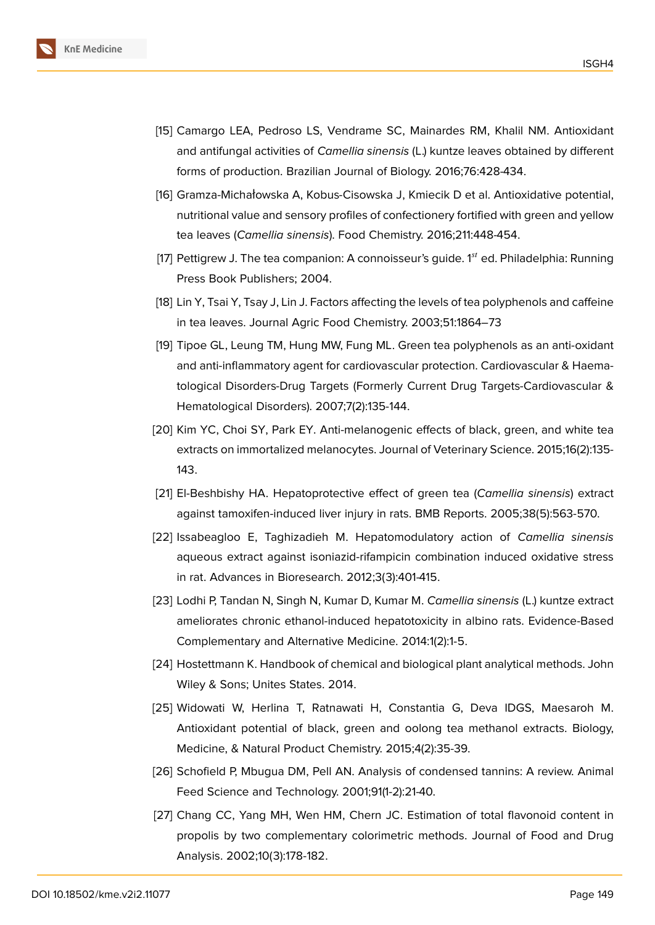

- [15] Camargo LEA, Pedroso LS, Vendrame SC, Mainardes RM, Khalil NM. Antioxidant and antifungal activities of *Camellia sinensis* (L.) kuntze leaves obtained by different forms of production. Brazilian Journal of Biology. 2016;76:428-434.
- [16] Gramza-Michałowska A, Kobus-Cisowska J, Kmiecik D et al. Antioxidative potential, nutritional value and sensory profiles of confectionery fortified with green and yellow tea leaves (*Camellia sinensis*). Food Chemistry. 2016;211:448-454.
- <span id="page-6-0"></span>[17] Pettigrew J. The tea companion: A connoisseur's quide.  $1<sup>st</sup>$  ed. Philadelphia: Running Press Book Publishers; 2004.
- <span id="page-6-1"></span>[18] Lin Y, Tsai Y, Tsay J, Lin J. Factors affecting the levels of tea polyphenols and caffeine in tea leaves. Journal Agric Food Chemistry. 2003;51:1864–73
- [19] Tipoe GL, Leung TM, Hung MW, Fung ML. Green tea polyphenols as an anti-oxidant and anti-inflammatory agent for cardiovascular protection. Cardiovascular & Haematological Disorders-Drug Targets (Formerly Current Drug Targets-Cardiovascular & Hematological Disorders). 2007;7(2):135-144.
- [20] Kim YC, Choi SY, Park EY. Anti-melanogenic effects of black, green, and white tea extracts on immortalized melanocytes. Journal of Veterinary Science. 2015;16(2):135- 143.
- [21] El-Beshbishy HA. Hepatoprotective effect of green tea (*Camellia sinensis*) extract against tamoxifen-induced liver injury in rats. BMB Reports. 2005;38(5):563-570.
- [22] Issabeagloo E, Taghizadieh M. Hepatomodulatory action of *Camellia sinensis* aqueous extract against isoniazid-rifampicin combination induced oxidative stress in rat. Advances in Bioresearch. 2012;3(3):401-415.
- [23] Lodhi P, Tandan N, Singh N, Kumar D, Kumar M. *Camellia sinensis* (L.) kuntze extract ameliorates chronic ethanol-induced hepatotoxicity in albino rats. Evidence-Based Complementary and Alternative Medicine. 2014:1(2):1-5.
- <span id="page-6-2"></span>[24] Hostettmann K. Handbook of chemical and biological plant analytical methods. John Wiley & Sons; Unites States. 2014.
- [25] Widowati W, Herlina T, Ratnawati H, Constantia G, Deva IDGS, Maesaroh M. Antioxidant potential of black, green and oolong tea methanol extracts. Biology, Medicine, & Natural Product Chemistry. 2015;4(2):35-39.
- [26] Schofield P, Mbugua DM, Pell AN. Analysis of condensed tannins: A review. Animal Feed Science and Technology. 2001;91(1-2):21-40.
- [27] Chang CC, Yang MH, Wen HM, Chern JC. Estimation of total flavonoid content in propolis by two complementary colorimetric methods. Journal of Food and Drug Analysis. 2002;10(3):178-182.